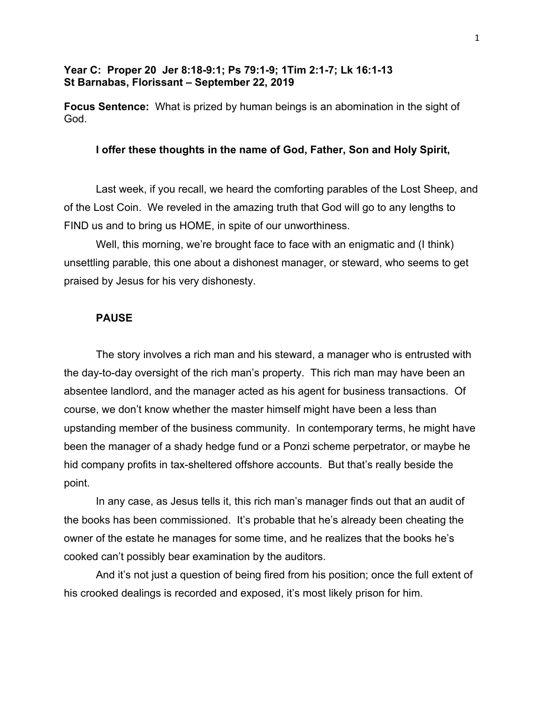# **Year C: Proper 20 Jer 8:18-9:1; Ps 79:1-9; 1Tim 2:1-7; Lk 16:1-13 St Barnabas, Florissant – September 22, 2019**

**Focus Sentence:** What is prized by human beings is an abomination in the sight of God.

# **I offer these thoughts in the name of God, Father, Son and Holy Spirit,**

Last week, if you recall, we heard the comforting parables of the Lost Sheep, and of the Lost Coin. We reveled in the amazing truth that God will go to any lengths to FIND us and to bring us HOME, in spite of our unworthiness.

Well, this morning, we're brought face to face with an enigmatic and (I think) unsettling parable, this one about a dishonest manager, or steward, who seems to get praised by Jesus for his very dishonesty.

### **PAUSE**

The story involves a rich man and his steward, a manager who is entrusted with the day-to-day oversight of the rich man's property. This rich man may have been an absentee landlord, and the manager acted as his agent for business transactions. Of course, we don't know whether the master himself might have been a less than upstanding member of the business community. In contemporary terms, he might have been the manager of a shady hedge fund or a Ponzi scheme perpetrator, or maybe he hid company profits in tax-sheltered offshore accounts. But that's really beside the point.

In any case, as Jesus tells it, this rich man's manager finds out that an audit of the books has been commissioned. It's probable that he's already been cheating the owner of the estate he manages for some time, and he realizes that the books he's cooked can't possibly bear examination by the auditors.

And it's not just a question of being fired from his position; once the full extent of his crooked dealings is recorded and exposed, it's most likely prison for him.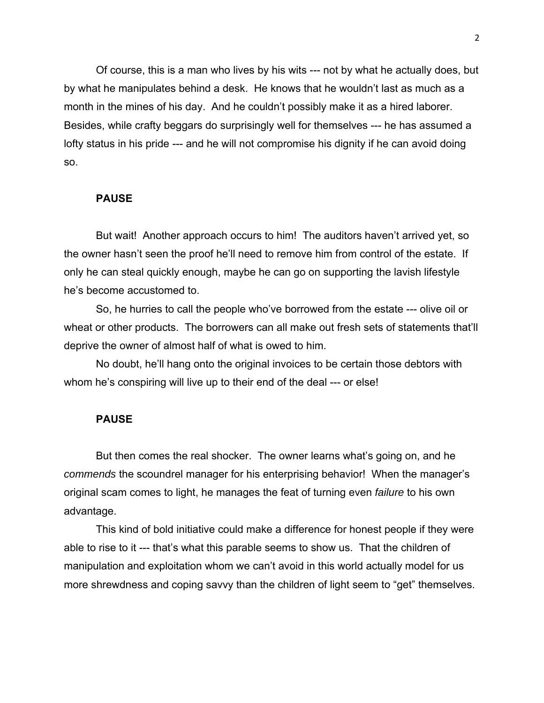Of course, this is a man who lives by his wits --- not by what he actually does, but by what he manipulates behind a desk. He knows that he wouldn't last as much as a month in the mines of his day. And he couldn't possibly make it as a hired laborer. Besides, while crafty beggars do surprisingly well for themselves --- he has assumed a lofty status in his pride --- and he will not compromise his dignity if he can avoid doing so.

### **PAUSE**

But wait! Another approach occurs to him! The auditors haven't arrived yet, so the owner hasn't seen the proof he'll need to remove him from control of the estate. If only he can steal quickly enough, maybe he can go on supporting the lavish lifestyle he's become accustomed to.

So, he hurries to call the people who've borrowed from the estate --- olive oil or wheat or other products. The borrowers can all make out fresh sets of statements that'll deprive the owner of almost half of what is owed to him.

No doubt, he'll hang onto the original invoices to be certain those debtors with whom he's conspiring will live up to their end of the deal --- or else!

#### **PAUSE**

But then comes the real shocker. The owner learns what's going on, and he *commends* the scoundrel manager for his enterprising behavior! When the manager's original scam comes to light, he manages the feat of turning even *failure* to his own advantage.

This kind of bold initiative could make a difference for honest people if they were able to rise to it --- that's what this parable seems to show us. That the children of manipulation and exploitation whom we can't avoid in this world actually model for us more shrewdness and coping savvy than the children of light seem to "get" themselves.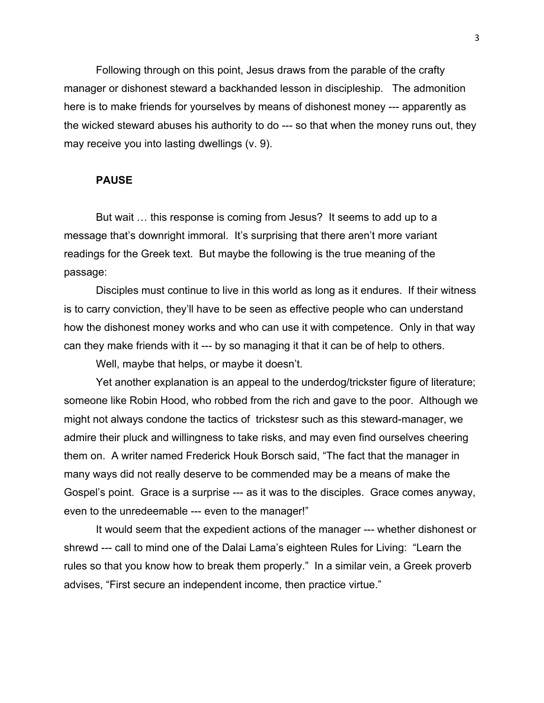Following through on this point, Jesus draws from the parable of the crafty manager or dishonest steward a backhanded lesson in discipleship. The admonition here is to make friends for yourselves by means of dishonest money --- apparently as the wicked steward abuses his authority to do --- so that when the money runs out, they may receive you into lasting dwellings (v. 9).

# **PAUSE**

But wait … this response is coming from Jesus? It seems to add up to a message that's downright immoral. It's surprising that there aren't more variant readings for the Greek text. But maybe the following is the true meaning of the passage:

Disciples must continue to live in this world as long as it endures. If their witness is to carry conviction, they'll have to be seen as effective people who can understand how the dishonest money works and who can use it with competence. Only in that way can they make friends with it --- by so managing it that it can be of help to others.

Well, maybe that helps, or maybe it doesn't.

Yet another explanation is an appeal to the underdog/trickster figure of literature; someone like Robin Hood, who robbed from the rich and gave to the poor. Although we might not always condone the tactics of trickstesr such as this steward-manager, we admire their pluck and willingness to take risks, and may even find ourselves cheering them on. A writer named Frederick Houk Borsch said, "The fact that the manager in many ways did not really deserve to be commended may be a means of make the Gospel's point. Grace is a surprise --- as it was to the disciples. Grace comes anyway, even to the unredeemable --- even to the manager!"

It would seem that the expedient actions of the manager --- whether dishonest or shrewd --- call to mind one of the Dalai Lama's eighteen Rules for Living: "Learn the rules so that you know how to break them properly." In a similar vein, a Greek proverb advises, "First secure an independent income, then practice virtue."